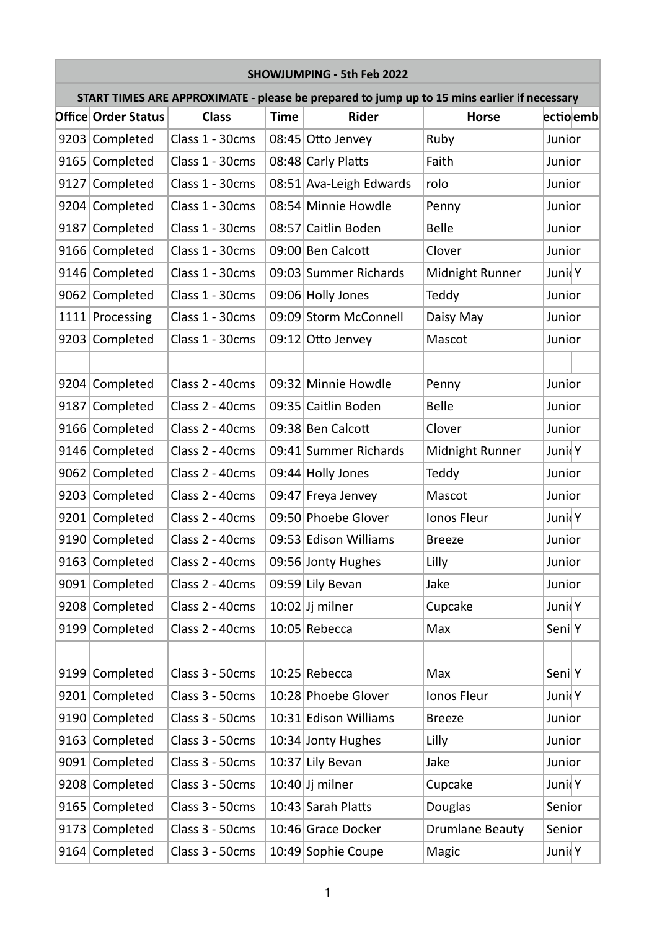## **SHOWJUMPING - 5th Feb 2022**

|      |                            |                 |             | START TIMES ARE APPROXIMATE - please be prepared to jump up to 15 mins earlier if necessary |                        |                   |  |
|------|----------------------------|-----------------|-------------|---------------------------------------------------------------------------------------------|------------------------|-------------------|--|
|      | <b>Office Order Status</b> | <b>Class</b>    | <b>Time</b> | <b>Rider</b>                                                                                | <b>Horse</b>           | ectioemb          |  |
|      | 9203 Completed             | Class 1 - 30cms |             | $08:45$ Otto Jenvey                                                                         | Ruby                   | Junior            |  |
|      | 9165 Completed             | Class 1 - 30cms |             | 08:48 Carly Platts                                                                          | Faith                  | Junior            |  |
|      | 9127 Completed             | Class 1 - 30cms |             | 08:51 Ava-Leigh Edwards                                                                     | rolo                   | Junior            |  |
|      | 9204 Completed             | Class 1 - 30cms |             | 08:54 Minnie Howdle                                                                         | Penny                  | Junior            |  |
|      | 9187 Completed             | Class 1 - 30cms |             | 08:57 Caitlin Boden                                                                         | Belle                  | Junior            |  |
|      | 9166 Completed             | Class 1 - 30cms |             | 09:00 Ben Calcott                                                                           | Clover                 | Junior            |  |
|      | 9146 Completed             | Class 1 - 30cms |             | 09:03 Summer Richards                                                                       | Midnight Runner        | JunicY            |  |
|      | 9062 Completed             | Class 1 - 30cms |             | 09:06 Holly Jones                                                                           | Teddy                  | Junior            |  |
|      | 1111 Processing            | Class 1 - 30cms |             | 09:09 Storm McConnell                                                                       | Daisy May              | Junior            |  |
|      | 9203 Completed             | Class 1 - 30cms |             | 09:12 Otto Jenvey                                                                           | Mascot                 | Junior            |  |
|      | 9204 Completed             | Class 2 - 40cms |             | 09:32 Minnie Howdle                                                                         | Penny                  | Junior            |  |
|      | 9187 Completed             | Class 2 - 40cms |             | 09:35 Caitlin Boden                                                                         | <b>Belle</b>           | Junior            |  |
|      | 9166 Completed             | Class 2 - 40cms |             | 09:38 Ben Calcott                                                                           | Clover                 | Junior            |  |
|      | 9146 Completed             | Class 2 - 40cms |             | 09:41 Summer Richards                                                                       | Midnight Runner        | JunidY            |  |
|      | 9062 Completed             | Class 2 - 40cms |             | 09:44 Holly Jones                                                                           | Teddy                  | Junior            |  |
|      | 9203 Completed             | Class 2 - 40cms |             | 09:47 Freya Jenvey                                                                          | Mascot                 | Junior            |  |
|      | 9201 Completed             | Class 2 - 40cms |             | 09:50 Phoebe Glover                                                                         | Ionos Fleur            | JunicY            |  |
|      | 9190 Completed             | Class 2 - 40cms |             | 09:53 Edison Williams                                                                       | <b>Breeze</b>          | Junior            |  |
|      | 9163 Completed             | Class 2 - 40cms |             | 09:56 Jonty Hughes                                                                          | Lilly                  | Junior            |  |
|      | 9091 Completed             | Class 2 - 40cms |             | 09:59 Lily Bevan                                                                            | Jake                   | Junior            |  |
|      | 9208 Completed             | Class 2 - 40cms |             | $ 10:02 $ Jj milner                                                                         | Cupcake                | JunicY            |  |
|      | 9199 Completed             | Class 2 - 40cms |             | $10:05$ Rebecca                                                                             | Max                    | Seni <sup>Y</sup> |  |
|      | 9199 Completed             | Class 3 - 50cms |             | $10:25$ Rebecca                                                                             | Max                    | Seni <sup>Y</sup> |  |
|      | 9201 Completed             | Class 3 - 50cms |             | 10:28 Phoebe Glover                                                                         | Ionos Fleur            | JunidY            |  |
|      | 9190 Completed             | Class 3 - 50cms |             | 10:31 Edison Williams                                                                       | <b>Breeze</b>          | Junior            |  |
|      | 9163 Completed             | Class 3 - 50cms |             | 10:34 Jonty Hughes                                                                          | Lilly                  | Junior            |  |
|      | 9091 Completed             | Class 3 - 50cms |             | 10:37 Lily Bevan                                                                            | Jake                   | Junior            |  |
|      | 9208 Completed             | Class 3 - 50cms |             | $10:40$ Jj milner                                                                           | Cupcake                | JunidY            |  |
| 9165 | Completed                  | Class 3 - 50cms |             | 10:43 Sarah Platts                                                                          | Douglas                | Senior            |  |
|      | 9173 Completed             | Class 3 - 50cms |             | 10:46 Grace Docker                                                                          | <b>Drumlane Beauty</b> | Senior            |  |
|      | 9164 Completed             | Class 3 - 50cms |             | 10:49 Sophie Coupe                                                                          | Magic                  | Juni Y            |  |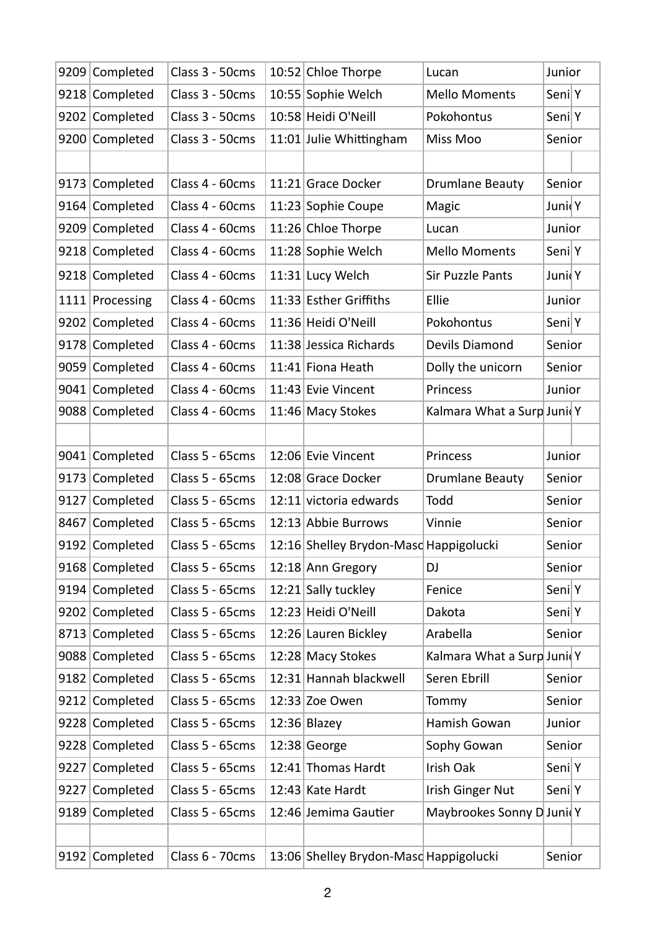|      | 9209 Completed  | Class 3 - 50cms |                                        |                            | Junior            |  |
|------|-----------------|-----------------|----------------------------------------|----------------------------|-------------------|--|
|      |                 |                 | 10:52 Chloe Thorpe                     | Lucan                      |                   |  |
| 9218 | Completed       | Class 3 - 50cms | 10:55 Sophie Welch                     | <b>Mello Moments</b>       | Seni <sup>Y</sup> |  |
| 9202 | Completed       | Class 3 - 50cms | 10:58 Heidi O'Neill                    | Pokohontus                 | Seni Y            |  |
|      | 9200 Completed  | Class 3 - 50cms | 11:01 Julie Whittingham                | Miss Moo                   | Senior            |  |
|      |                 |                 |                                        |                            |                   |  |
|      | 9173 Completed  | Class 4 - 60cms | 11:21 Grace Docker                     | <b>Drumlane Beauty</b>     | Senior            |  |
| 9164 | Completed       | Class 4 - 60cms | 11:23 Sophie Coupe                     | Magic                      | JunidY            |  |
| 9209 | Completed       | Class 4 - 60cms | 11:26 Chloe Thorpe                     | Lucan                      | Junior            |  |
|      | 9218 Completed  | Class 4 - 60cms | 11:28 Sophie Welch                     | <b>Mello Moments</b>       | Seni <sup>Y</sup> |  |
|      | 9218 Completed  | Class 4 - 60cms | 11:31 Lucy Welch                       | Sir Puzzle Pants           | JunidY            |  |
|      | 1111 Processing | Class 4 - 60cms | 11:33 Esther Griffiths                 | Ellie                      | Junior            |  |
| 9202 | Completed       | Class 4 - 60cms | 11:36 Heidi O'Neill                    | Pokohontus                 | Seni <sup>Y</sup> |  |
| 9178 | Completed       | Class 4 - 60cms | 11:38 Jessica Richards                 | <b>Devils Diamond</b>      | Senior            |  |
| 9059 | Completed       | Class 4 - 60cms | 11:41 Fiona Heath                      | Dolly the unicorn          | Senior            |  |
|      | 9041 Completed  | Class 4 - 60cms | 11:43 Evie Vincent                     | Princess                   | Junior            |  |
|      | 9088 Completed  | Class 4 - 60cms | 11:46 Macy Stokes                      | Kalmara What a Surp JunicY |                   |  |
|      |                 |                 |                                        |                            |                   |  |
|      | 9041 Completed  | Class 5 - 65cms | 12:06 Evie Vincent                     | Princess                   | Junior            |  |
| 9173 | Completed       | Class 5 - 65cms | 12:08 Grace Docker                     | <b>Drumlane Beauty</b>     | Senior            |  |
| 9127 | Completed       | Class 5 - 65cms | 12:11 victoria edwards                 | Todd                       | Senior            |  |
| 8467 | Completed       | Class 5 - 65cms | 12:13 Abbie Burrows                    | Vinnie                     | Senior            |  |
| 9192 | Completed       | Class 5 - 65cms | 12:16 Shelley Brydon-Masd Happigolucki |                            | Senior            |  |
|      | 9168 Completed  | Class 5 - 65cms | 12:18 Ann Gregory                      | DJ                         | Senior            |  |
|      | 9194 Completed  | Class 5 - 65cms | 12:21 Sally tuckley                    | Fenice                     | Seni Y            |  |
|      | 9202 Completed  | Class 5 - 65cms | 12:23 Heidi O'Neill                    | Dakota                     | Seni <sup>Y</sup> |  |
| 8713 | Completed       | Class 5 - 65cms | 12:26 Lauren Bickley                   | Arabella                   | Senior            |  |
| 9088 | Completed       | Class 5 - 65cms | 12:28 Macy Stokes                      | Kalmara What a Surp JunicY |                   |  |
| 9182 | Completed       | Class 5 - 65cms | 12:31 Hannah blackwell                 | Seren Ebrill               | Senior            |  |
| 9212 | Completed       | Class 5 - 65cms | 12:33 Zoe Owen                         | Tommy                      | Senior            |  |
| 9228 | Completed       | Class 5 - 65cms | $12:36$ Blazey                         | Hamish Gowan               | Junior            |  |
| 9228 | Completed       | Class 5 - 65cms | $12:38$ George                         | Sophy Gowan                | Senior            |  |
| 9227 | Completed       | Class 5 - 65cms | 12:41 Thomas Hardt                     | Irish Oak                  | Seni Y            |  |
| 9227 | Completed       | Class 5 - 65cms | 12:43 Kate Hardt                       | Irish Ginger Nut           | Seni Y            |  |
| 9189 | Completed       | Class 5 - 65cms | 12:46 Jemima Gautier                   | Maybrookes Sonny D JunicY  |                   |  |
|      |                 |                 |                                        |                            |                   |  |
| 9192 | Completed       | Class 6 - 70cms | 13:06 Shelley Brydon-Masd Happigolucki |                            | Senior            |  |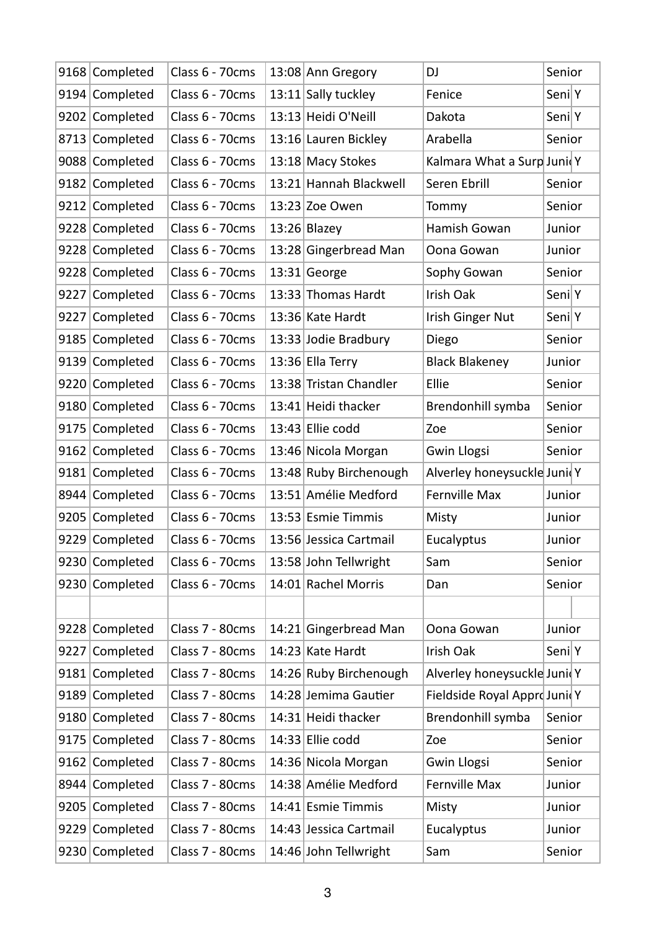|      | 9168 Completed | Class 6 - 70cms | 13:08 Ann Gregory      | DJ                            | Senior |
|------|----------------|-----------------|------------------------|-------------------------------|--------|
| 9194 | Completed      | Class 6 - 70cms | 13:11 Sally tuckley    | Fenice                        | Seni Y |
| 9202 | Completed      | Class 6 - 70cms | 13:13 Heidi O'Neill    | Dakota                        | Seni Y |
| 8713 | Completed      | Class 6 - 70cms | 13:16 Lauren Bickley   | Arabella                      | Senior |
| 9088 | Completed      | Class 6 - 70cms | 13:18 Macy Stokes      | Kalmara What a Surp JunicY    |        |
|      | 9182 Completed | Class 6 - 70cms | 13:21 Hannah Blackwell | Seren Ebrill                  | Senior |
| 9212 | Completed      | Class 6 - 70cms | 13:23 Zoe Owen         | Tommy                         | Senior |
| 9228 | Completed      | Class 6 - 70cms | $13:26$ Blazey         | Hamish Gowan                  | Junior |
| 9228 | Completed      | Class 6 - 70cms | 13:28 Gingerbread Man  | Oona Gowan                    | Junior |
|      | 9228 Completed | Class 6 - 70cms | $13:31$ George         | Sophy Gowan                   | Senior |
| 9227 | Completed      | Class 6 - 70cms | 13:33 Thomas Hardt     | <b>Irish Oak</b>              | Seni Y |
| 9227 | Completed      | Class 6 - 70cms | 13:36 Kate Hardt       | Irish Ginger Nut              | Seni Y |
| 9185 | Completed      | Class 6 - 70cms | 13:33 Jodie Bradbury   | Diego                         | Senior |
| 9139 | Completed      | Class 6 - 70cms | 13:36 Ella Terry       | <b>Black Blakeney</b>         | Junior |
|      | 9220 Completed | Class 6 - 70cms | 13:38 Tristan Chandler | Ellie                         | Senior |
| 9180 | Completed      | Class 6 - 70cms | 13:41 Heidi thacker    | Brendonhill symba             | Senior |
| 9175 | Completed      | Class 6 - 70cms | $13:43$ Ellie codd     | Zoe                           | Senior |
| 9162 | Completed      | Class 6 - 70cms | 13:46 Nicola Morgan    | Gwin Llogsi                   | Senior |
|      |                |                 |                        |                               |        |
| 9181 | Completed      | Class 6 - 70cms | 13:48 Ruby Birchenough | Alverley honeysuckle JunicY   |        |
| 8944 | Completed      | Class 6 - 70cms | 13:51 Amélie Medford   | Fernville Max                 | Junior |
| 9205 | Completed      | Class 6 - 70cms | 13:53 Esmie Timmis     | Misty                         | Junior |
| 9229 | Completed      | Class 6 - 70cms | 13:56 Jessica Cartmail | Eucalyptus                    | Junior |
|      | 9230 Completed | Class 6 - 70cms | 13:58 John Tellwright  | Sam                           | Senior |
|      | 9230 Completed | Class 6 - 70cms | 14:01 Rachel Morris    | Dan                           | Senior |
|      |                |                 |                        |                               |        |
|      | 9228 Completed | Class 7 - 80cms | 14:21 Gingerbread Man  | Oona Gowan                    | Junior |
| 9227 | Completed      | Class 7 - 80cms | 14:23 Kate Hardt       | Irish Oak                     | Seni Y |
|      | 9181 Completed | Class 7 - 80cms | 14:26 Ruby Birchenough | Alverley honeysuckle JunicY   |        |
| 9189 | Completed      | Class 7 - 80cms | 14:28 Jemima Gautier   | Fieldside Royal Apprd Junid Y |        |
| 9180 | Completed      | Class 7 - 80cms | 14:31 Heidi thacker    | Brendonhill symba             | Senior |
| 9175 | Completed      | Class 7 - 80cms | $14:33$ Ellie codd     | Zoe                           | Senior |
| 9162 | Completed      | Class 7 - 80cms | 14:36 Nicola Morgan    | Gwin Llogsi                   | Senior |
| 8944 | Completed      | Class 7 - 80cms | 14:38 Amélie Medford   | Fernville Max                 | Junior |
| 9205 | Completed      | Class 7 - 80cms | 14:41 Esmie Timmis     | Misty                         | Junior |
| 9229 | Completed      | Class 7 - 80cms | 14:43 Jessica Cartmail | Eucalyptus                    | Junior |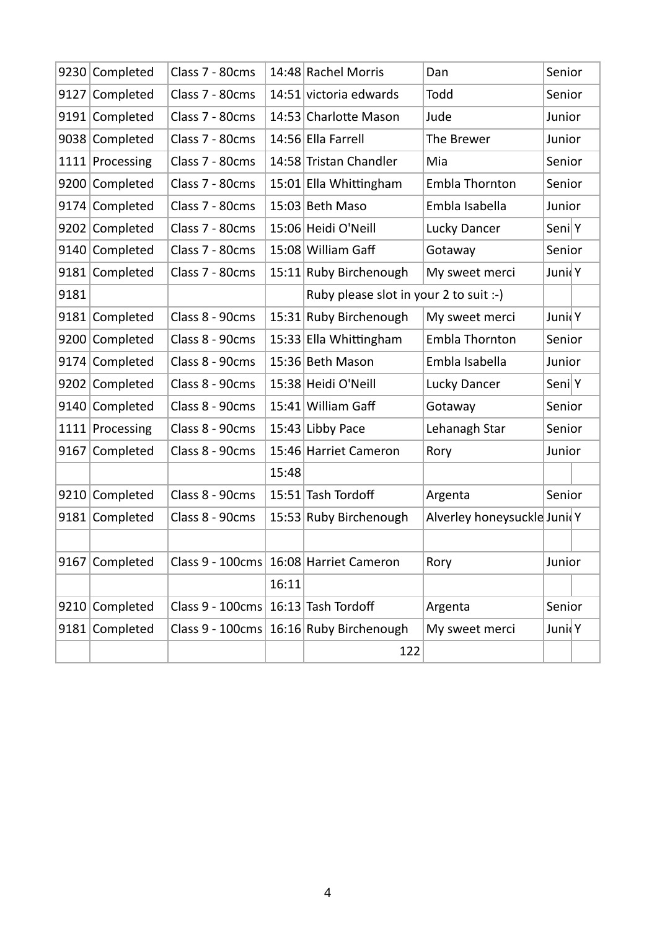|      | 9230 Completed  | Class 7 - 80cms  |       | 14:48 Rachel Morris                      | Dan                         | Senior |  |
|------|-----------------|------------------|-------|------------------------------------------|-----------------------------|--------|--|
| 9127 | Completed       | Class 7 - 80cms  |       | 14:51 victoria edwards                   | Todd                        | Senior |  |
| 9191 | Completed       | Class 7 - 80cms  |       | 14:53 Charlotte Mason                    | Jude                        | Junior |  |
|      | 9038 Completed  | Class 7 - 80cms  |       | 14:56 Ella Farrell                       | The Brewer                  | Junior |  |
|      | 1111 Processing | Class 7 - 80cms  |       | 14:58 Tristan Chandler                   | Mia                         | Senior |  |
|      | 9200 Completed  | Class 7 - 80cms  |       | 15:01 Ella Whittingham                   | Embla Thornton              | Senior |  |
| 9174 | Completed       | Class 7 - 80cms  |       | 15:03 Beth Maso                          | Embla Isabella              | Junior |  |
| 9202 | Completed       | Class 7 - 80cms  |       | 15:06 Heidi O'Neill                      | Lucky Dancer                | Seni Y |  |
| 9140 | Completed       | Class 7 - 80cms  |       | 15:08 William Gaff                       | Gotaway                     | Senior |  |
|      | 9181 Completed  | Class 7 - 80cms  |       | 15:11 Ruby Birchenough                   | My sweet merci              | JunidY |  |
| 9181 |                 |                  |       | Ruby please slot in your 2 to suit :-)   |                             |        |  |
| 9181 | Completed       | Class 8 - 90cms  |       | 15:31 Ruby Birchenough                   | My sweet merci              | JunidY |  |
| 9200 | Completed       | Class 8 - 90cms  |       | 15:33 Ella Whittingham                   | Embla Thornton              | Senior |  |
| 9174 | Completed       | Class 8 - 90cms  |       | 15:36 Beth Mason                         | Embla Isabella              | Junior |  |
| 9202 | Completed       | Class 8 - 90cms  |       | 15:38 Heidi O'Neill                      | Lucky Dancer                | Seni Y |  |
| 9140 | Completed       | Class 8 - 90cms  |       | 15:41 William Gaff                       | Gotaway                     | Senior |  |
|      | 1111 Processing | Class 8 - 90cms  |       | 15:43 Libby Pace                         | Lehanagh Star               | Senior |  |
| 9167 | Completed       | Class 8 - 90cms  |       | 15:46 Harriet Cameron                    | Rory                        | Junior |  |
|      |                 |                  | 15:48 |                                          |                             |        |  |
| 9210 | Completed       | Class 8 - 90cms  |       | 15:51 Tash Tordoff                       | Argenta                     | Senior |  |
| 9181 | Completed       | Class 8 - 90cms  |       | 15:53 Ruby Birchenough                   | Alverley honeysuckle JunicY |        |  |
|      |                 |                  |       |                                          |                             |        |  |
| 9167 | Completed       |                  |       | Class 9 - 100cms   16:08 Harriet Cameron | Rory                        | Junior |  |
|      |                 |                  | 16:11 |                                          |                             |        |  |
| 9210 | Completed       | Class 9 - 100cms |       | 16:13 Tash Tordoff                       | Argenta                     | Senior |  |
|      | 9181 Completed  | Class 9 - 100cms |       | 16:16 Ruby Birchenough                   | My sweet merci              | JunidY |  |
|      |                 |                  |       | 122                                      |                             |        |  |
|      |                 |                  |       |                                          |                             |        |  |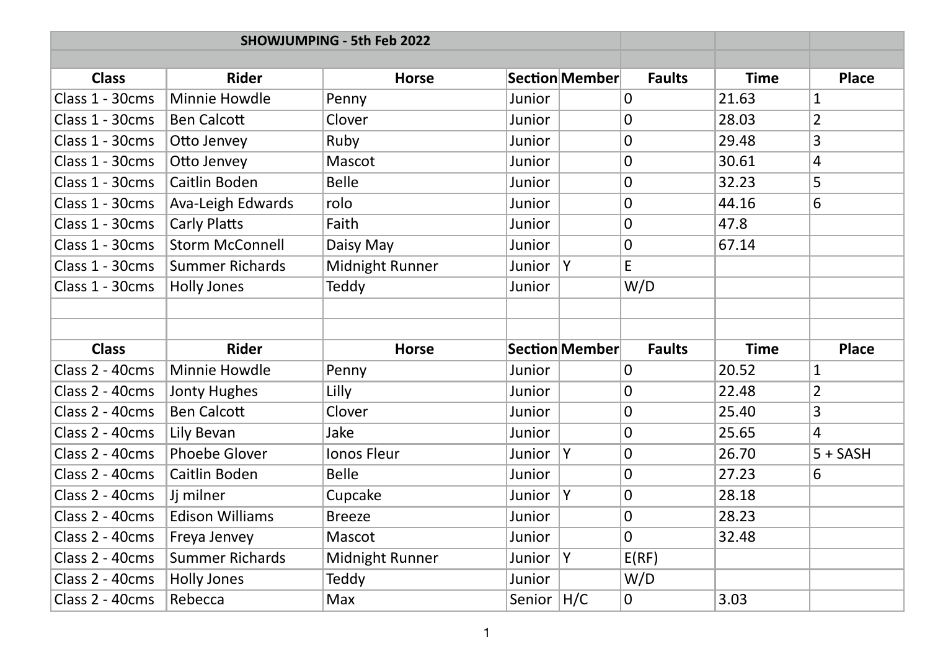|                 |                        | SHOWJUMPING - 5th Feb 2022 |        |                |                |             |                |
|-----------------|------------------------|----------------------------|--------|----------------|----------------|-------------|----------------|
|                 |                        |                            |        |                |                |             |                |
| <b>Class</b>    | <b>Rider</b>           | <b>Horse</b>               |        | Section Member | <b>Faults</b>  | <b>Time</b> | <b>Place</b>   |
| Class 1 - 30cms | Minnie Howdle          | Penny                      | Junior |                | $\overline{0}$ | 21.63       | $\mathbf 1$    |
| Class 1 - 30cms | <b>Ben Calcott</b>     | Clover                     | Junior |                | 0              | 28.03       | $\overline{2}$ |
| Class 1 - 30cms | Otto Jenvey            | Ruby                       | Junior |                | $\overline{0}$ | 29.48       | 3              |
| Class 1 - 30cms | Otto Jenvey            | Mascot                     | Junior |                | $\overline{0}$ | 30.61       | 4              |
| Class 1 - 30cms | Caitlin Boden          | <b>Belle</b>               | Junior |                | $\overline{0}$ | 32.23       | 5              |
| Class 1 - 30cms | Ava-Leigh Edwards      | rolo                       | Junior |                | $\overline{0}$ | 44.16       | 6              |
| Class 1 - 30cms | Carly Platts           | Faith                      | Junior |                | $\mathbf 0$    | 47.8        |                |
| Class 1 - 30cms | <b>Storm McConnell</b> | Daisy May                  | Junior |                | 0              | 67.14       |                |
| Class 1 - 30cms | <b>Summer Richards</b> | Midnight Runner            | Junior | Y              | E              |             |                |
| Class 1 - 30cms | <b>Holly Jones</b>     | Teddy                      | Junior |                | W/D            |             |                |
|                 |                        |                            |        |                |                |             |                |
|                 |                        |                            |        |                |                |             |                |
| <b>Class</b>    | <b>Rider</b>           | <b>Horse</b>               |        | Section Member | <b>Faults</b>  | <b>Time</b> | <b>Place</b>   |
| Class 2 - 40cms | Minnie Howdle          | Penny                      | Junior |                | $\mathbf 0$    | 20.52       | $\mathbf 1$    |
| Class 2 - 40cms | Jonty Hughes           | Lilly                      | Junior |                | 0              | 22.48       | $\overline{2}$ |
| Class 2 - 40cms | <b>Ben Calcott</b>     | Clover                     | Junior |                | 0              | 25.40       | 3              |
| Class 2 - 40cms | Lily Bevan             | Jake                       | Junior |                | $\mathbf 0$    | 25.65       | 4              |
| Class 2 - 40cms | Phoebe Glover          | <b>Ionos Fleur</b>         | Junior | Y              | 0              | 26.70       | $5 + SASH$     |
| Class 2 - 40cms | Caitlin Boden          | <b>Belle</b>               | Junior |                | 0              | 27.23       | 6              |
| Class 2 - 40cms |                        |                            |        |                |                |             |                |
|                 | Jj milner              | Cupcake                    | Junior | Υ              | 0              | 28.18       |                |
| Class 2 - 40cms | <b>Edison Williams</b> | <b>Breeze</b>              | Junior |                | 0              | 28.23       |                |
| Class 2 - 40cms | Freya Jenvey           | Mascot                     | Junior |                | $\mathbf 0$    | 32.48       |                |
| Class 2 - 40cms | <b>Summer Richards</b> | Midnight Runner            | Junior | Υ              | E(RF)          |             |                |
| Class 2 - 40cms | <b>Holly Jones</b>     | Teddy                      | Junior |                | W/D            |             |                |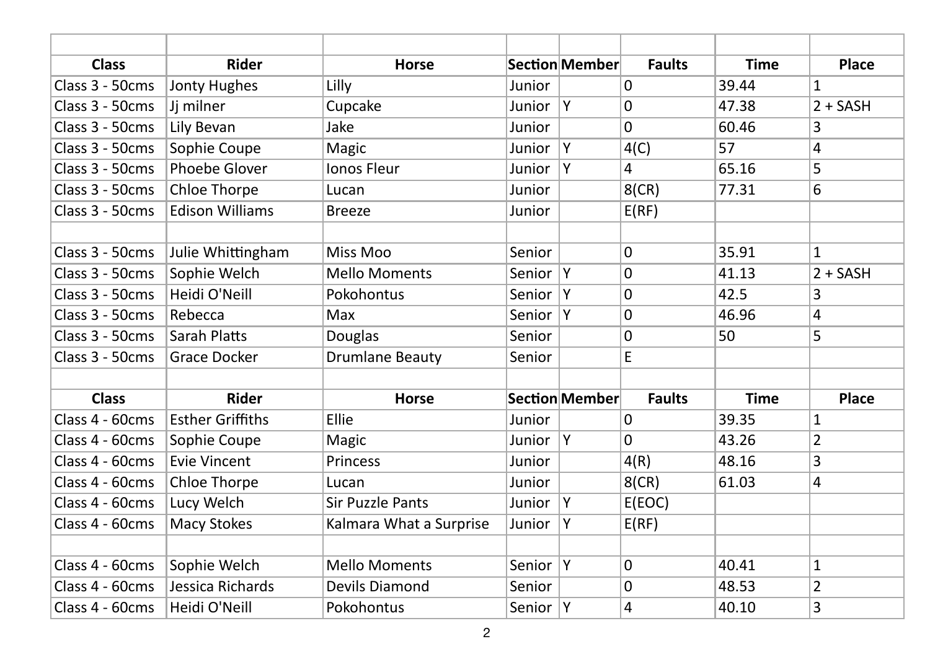| <b>Class</b>    | <b>Rider</b>            | <b>Horse</b>            |        | Section Member | <b>Faults</b>  | <b>Time</b> | <b>Place</b>   |
|-----------------|-------------------------|-------------------------|--------|----------------|----------------|-------------|----------------|
| Class 3 - 50cms | Jonty Hughes            | Lilly                   | Junior |                | $\overline{0}$ | 39.44       | $\mathbf{1}$   |
| Class 3 - 50cms | Jj milner               | Cupcake                 | Junior | Y              | $\mathbf 0$    | 47.38       | $2 + SASH$     |
| Class 3 - 50cms | Lily Bevan              | Jake                    | Junior |                | 0              | 60.46       | 3              |
| Class 3 - 50cms | Sophie Coupe            | Magic                   | Junior | Y              | 4(C)           | 57          | $\overline{4}$ |
| Class 3 - 50cms | Phoebe Glover           | Ionos Fleur             | Junior | Υ              | 4              | 65.16       | 5              |
| Class 3 - 50cms | Chloe Thorpe            | Lucan                   | Junior |                | 8(CR)          | 77.31       | 6              |
| Class 3 - 50cms | <b>Edison Williams</b>  | <b>Breeze</b>           | Junior |                | E(RF)          |             |                |
|                 |                         |                         |        |                |                |             |                |
| Class 3 - 50cms | Julie Whittingham       | Miss Moo                | Senior |                | $\mathbf 0$    | 35.91       | $\mathbf{1}$   |
| Class 3 - 50cms | Sophie Welch            | <b>Mello Moments</b>    | Senior | Y              | $\overline{0}$ | 41.13       | $2 + SASH$     |
| Class 3 - 50cms | Heidi O'Neill           | Pokohontus              | Senior | Υ              | $\overline{0}$ | 42.5        | 3              |
| Class 3 - 50cms | Rebecca                 | Max                     | Senior | Y              | $\overline{0}$ | 46.96       | $\overline{4}$ |
| Class 3 - 50cms | Sarah Platts            | Douglas                 | Senior |                | $\mathbf 0$    | 50          | 5              |
| Class 3 - 50cms | <b>Grace Docker</b>     | <b>Drumlane Beauty</b>  | Senior |                | E              |             |                |
|                 |                         |                         |        |                |                |             |                |
| <b>Class</b>    | <b>Rider</b>            | <b>Horse</b>            |        | Section Member | <b>Faults</b>  | <b>Time</b> | <b>Place</b>   |
| Class 4 - 60cms | <b>Esther Griffiths</b> | Ellie                   | Junior |                | 0              | 39.35       | $\mathbf{1}$   |
| Class 4 - 60cms | Sophie Coupe            | Magic                   | Junior | Υ              | $\mathbf 0$    | 43.26       | $\overline{2}$ |
| Class 4 - 60cms | <b>Evie Vincent</b>     | Princess                | Junior |                | 4(R)           | 48.16       | 3              |
| Class 4 - 60cms | Chloe Thorpe            | Lucan                   | Junior |                | 8(CR)          | 61.03       | $\overline{4}$ |
| Class 4 - 60cms | Lucy Welch              | <b>Sir Puzzle Pants</b> | Junior | Υ              | E(EOC)         |             |                |
| Class 4 - 60cms | <b>Macy Stokes</b>      | Kalmara What a Surprise | Junior | Y              | E(RF)          |             |                |
|                 |                         |                         |        |                |                |             |                |
| Class 4 - 60cms | Sophie Welch            | <b>Mello Moments</b>    | Senior | Y              | 0              | 40.41       | $\mathbf{1}$   |
| Class 4 - 60cms | Jessica Richards        | Devils Diamond          | Senior |                | $\mathbf 0$    | 48.53       | $\overline{2}$ |
| Class 4 - 60cms | Heidi O'Neill           | Pokohontus              | Senior | Y              | 4              | 40.10       | 3              |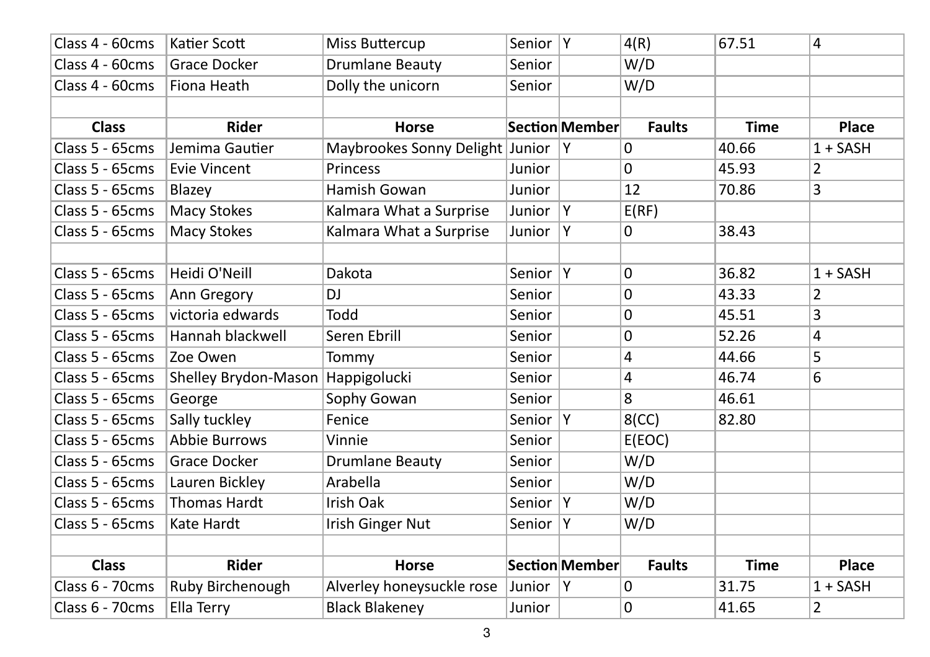| Class 4 - 60cms | Katier Scott         | Miss Buttercup                  | Senior | Y              | 4(R)           | 67.51       | 4              |
|-----------------|----------------------|---------------------------------|--------|----------------|----------------|-------------|----------------|
| Class 4 - 60cms | Grace Docker         | <b>Drumlane Beauty</b>          | Senior |                | W/D            |             |                |
| Class 4 - 60cms | Fiona Heath          | Dolly the unicorn               | Senior |                | W/D            |             |                |
|                 |                      |                                 |        |                |                |             |                |
| <b>Class</b>    | <b>Rider</b>         | <b>Horse</b>                    |        | Section Member | <b>Faults</b>  | <b>Time</b> | <b>Place</b>   |
| Class 5 - 65cms | Jemima Gautier       | Maybrookes Sonny Delight Junior |        | ΙY.            | $\overline{0}$ | 40.66       | $1 + SASH$     |
| Class 5 - 65cms | <b>Evie Vincent</b>  | Princess                        | Junior |                | $\Omega$       | 45.93       | $\overline{2}$ |
| Class 5 - 65cms | Blazey               | Hamish Gowan                    | Junior |                | 12             | 70.86       | 3              |
| Class 5 - 65cms | <b>Macy Stokes</b>   | Kalmara What a Surprise         | Junior | Υ              | E(RF)          |             |                |
| Class 5 - 65cms | Macy Stokes          | Kalmara What a Surprise         | Junior | Y              | $\mathbf 0$    | 38.43       |                |
|                 |                      |                                 |        |                |                |             |                |
| Class 5 - 65cms | Heidi O'Neill        | Dakota                          | Senior | Y              | $\mathbf 0$    | 36.82       | $1 + SASH$     |
| Class 5 - 65cms | Ann Gregory          | <b>DJ</b>                       | Senior |                | $\mathbf 0$    | 43.33       | $\overline{2}$ |
| Class 5 - 65cms | victoria edwards     | Todd                            | Senior |                | $\mathbf 0$    | 45.51       | $\overline{3}$ |
| Class 5 - 65cms | Hannah blackwell     | Seren Ebrill                    | Senior |                | $\mathbf 0$    | 52.26       | 4              |
| Class 5 - 65cms | Zoe Owen             | Tommy                           | Senior |                | 4              | 44.66       | 5              |
| Class 5 - 65cms | Shelley Brydon-Mason | Happigolucki                    | Senior |                | $\overline{4}$ | 46.74       | 6              |
| Class 5 - 65cms | George               | Sophy Gowan                     | Senior |                | 8              | 46.61       |                |
| Class 5 - 65cms | Sally tuckley        | Fenice                          | Senior | Y              | 8(CC)          | 82.80       |                |
| Class 5 - 65cms | <b>Abbie Burrows</b> | Vinnie                          | Senior |                | E(EOC)         |             |                |
| Class 5 - 65cms | <b>Grace Docker</b>  | <b>Drumlane Beauty</b>          | Senior |                | W/D            |             |                |
| Class 5 - 65cms | Lauren Bickley       | Arabella                        | Senior |                | W/D            |             |                |
| Class 5 - 65cms | <b>Thomas Hardt</b>  | Irish Oak                       | Senior | Υ              | W/D            |             |                |
| Class 5 - 65cms | Kate Hardt           | Irish Ginger Nut                | Senior | Υ              | W/D            |             |                |
|                 |                      |                                 |        |                |                |             |                |
| <b>Class</b>    | <b>Rider</b>         | <b>Horse</b>                    |        | Section Member | <b>Faults</b>  | <b>Time</b> | <b>Place</b>   |
| Class 6 - 70cms | Ruby Birchenough     | Alverley honeysuckle rose       | Junior | Y              | $\overline{0}$ | 31.75       | $1 + SASH$     |
| Class 6 - 70cms | Ella Terry           | <b>Black Blakeney</b>           | Junior |                | $\overline{0}$ | 41.65       | 2              |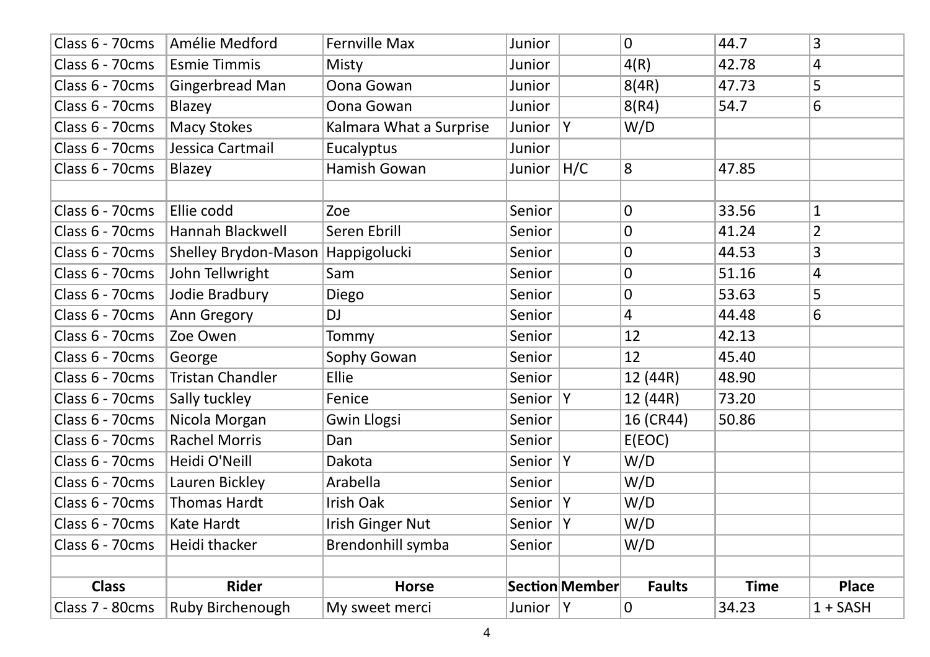| Class 6 - 70cms | Amélie Medford                    | Fernville Max           | Junior   |                | 0              | 44.7        | 3              |
|-----------------|-----------------------------------|-------------------------|----------|----------------|----------------|-------------|----------------|
| Class 6 - 70cms | <b>Esmie Timmis</b>               | Misty                   | Junior   |                | 4(R)           | 42.78       | 4              |
| Class 6 - 70cms | Gingerbread Man                   | Oona Gowan              | Junior   |                | 8(4R)          | 47.73       | 5              |
| Class 6 - 70cms | Blazey                            | Oona Gowan              | Junior   |                | 8(R4)          | 54.7        | 6              |
| Class 6 - 70cms | Macy Stokes                       | Kalmara What a Surprise | Junior   | Υ              | W/D            |             |                |
| Class 6 - 70cms | Jessica Cartmail                  | Eucalyptus              | Junior   |                |                |             |                |
| Class 6 - 70cms | Blazey                            | Hamish Gowan            | Junior   | H/C            | 8              | 47.85       |                |
|                 |                                   |                         |          |                |                |             |                |
| Class 6 - 70cms | Ellie codd                        | Zoe                     | Senior   |                | 0              | 33.56       | 1              |
| Class 6 - 70cms | Hannah Blackwell                  | Seren Ebrill            | Senior   |                | 0              | 41.24       | $\overline{2}$ |
| Class 6 - 70cms | Shelley Brydon-Mason Happigolucki |                         | Senior   |                | 0              | 44.53       | 3              |
| Class 6 - 70cms | John Tellwright                   | Sam                     | Senior   |                | 0              | 51.16       | 4              |
| Class 6 - 70cms | Jodie Bradbury                    | Diego                   | Senior   |                | 0              | 53.63       | 5              |
| Class 6 - 70cms | Ann Gregory                       | <b>DJ</b>               | Senior   |                | $\overline{4}$ | 44.48       | 6              |
| Class 6 - 70cms | Zoe Owen                          | Tommy                   | Senior   |                | 12             | 42.13       |                |
| Class 6 - 70cms | George                            | Sophy Gowan             | Senior   |                | 12             | 45.40       |                |
| Class 6 - 70cms | <b>Tristan Chandler</b>           | Ellie                   | Senior   |                | 12 (44R)       | 48.90       |                |
| Class 6 - 70cms | Sally tuckley                     | Fenice                  | Senior   | Y              | 12 (44R)       | 73.20       |                |
| Class 6 - 70cms | Nicola Morgan                     | <b>Gwin Llogsi</b>      | Senior   |                | 16 (CR44)      | 50.86       |                |
| Class 6 - 70cms | <b>Rachel Morris</b>              | Dan                     | Senior   |                | E(EOC)         |             |                |
| Class 6 - 70cms | Heidi O'Neill                     | Dakota                  | Senior   | Y              | W/D            |             |                |
| Class 6 - 70cms | Lauren Bickley                    | Arabella                | Senior   |                | W/D            |             |                |
| Class 6 - 70cms | <b>Thomas Hardt</b>               | Irish Oak               | Senior   | Υ              | W/D            |             |                |
| Class 6 - 70cms | Kate Hardt                        | Irish Ginger Nut        | Senior   | Υ              | W/D            |             |                |
| Class 6 - 70cms | Heidi thacker                     | Brendonhill symba       | Senior   |                | W/D            |             |                |
|                 |                                   |                         |          |                |                |             |                |
| <b>Class</b>    | <b>Rider</b>                      | <b>Horse</b>            |          | Section Member | <b>Faults</b>  | <b>Time</b> | <b>Place</b>   |
| Class 7 - 80cms | <b>Ruby Birchenough</b>           | My sweet merci          | Junior Y |                | 0              | 34.23       | $1 + SASH$     |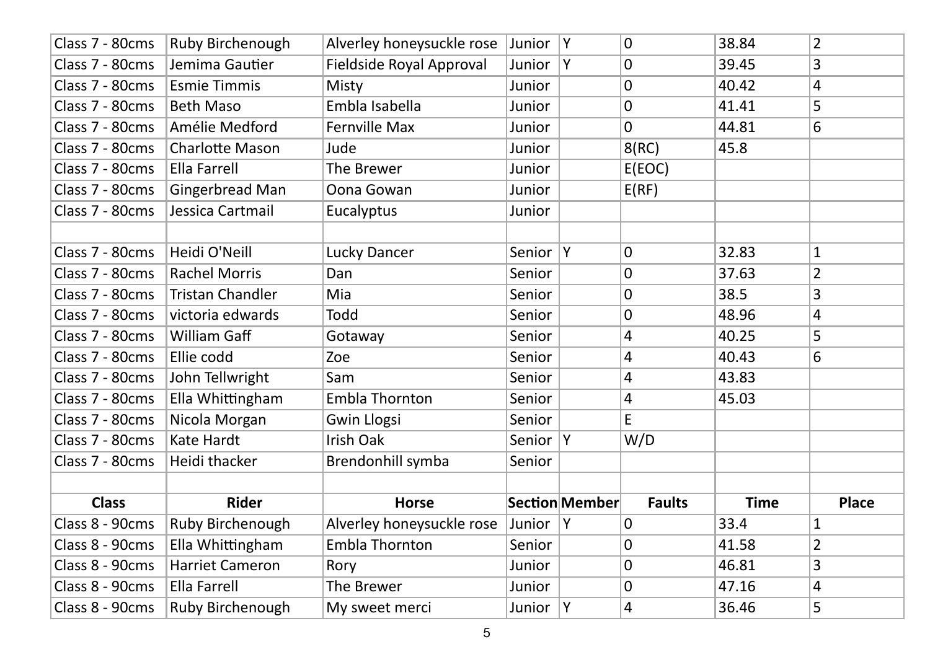| Class 7 - 80cms | Ruby Birchenough        | Alverley honeysuckle rose Junior |           | Y              | $\Omega$       | 38.84       | $\overline{2}$ |
|-----------------|-------------------------|----------------------------------|-----------|----------------|----------------|-------------|----------------|
| Class 7 - 80cms | Jemima Gautier          | Fieldside Royal Approval         | Junior    | Y              | $\overline{0}$ | 39.45       | 3              |
| Class 7 - 80cms | <b>Esmie Timmis</b>     | Misty                            | Junior    |                | $\mathbf 0$    | 40.42       | 4              |
| Class 7 - 80cms | <b>Beth Maso</b>        | Embla Isabella                   | Junior    |                | $\overline{0}$ | 41.41       | 5              |
| Class 7 - 80cms | Amélie Medford          | <b>Fernville Max</b>             | Junior    |                | $\overline{0}$ | 44.81       | 6              |
| Class 7 - 80cms | Charlotte Mason         | Jude                             | Junior    |                | 8(RC)          | 45.8        |                |
| Class 7 - 80cms | Ella Farrell            | The Brewer                       | Junior    |                | E(EOC)         |             |                |
| Class 7 - 80cms | Gingerbread Man         | Oona Gowan                       | Junior    |                | E(RF)          |             |                |
| Class 7 - 80cms | Jessica Cartmail        | Eucalyptus                       | Junior    |                |                |             |                |
|                 |                         |                                  |           |                |                |             |                |
| Class 7 - 80cms | Heidi O'Neill           | Lucky Dancer                     | Senior  Y |                | 0              | 32.83       | 1              |
| Class 7 - 80cms | <b>Rachel Morris</b>    | Dan                              | Senior    |                | $\overline{0}$ | 37.63       | $\overline{2}$ |
| Class 7 - 80cms | <b>Tristan Chandler</b> | Mia                              | Senior    |                | $\mathbf 0$    | 38.5        | 3              |
| Class 7 - 80cms | victoria edwards        | Todd                             | Senior    |                | $\mathbf 0$    | 48.96       | 4              |
| Class 7 - 80cms | <b>William Gaff</b>     | Gotaway                          | Senior    |                | $\overline{4}$ | 40.25       | 5              |
| Class 7 - 80cms | Ellie codd              | Zoe                              | Senior    |                | 4              | 40.43       | 6              |
| Class 7 - 80cms | John Tellwright         | Sam                              | Senior    |                | 4              | 43.83       |                |
| Class 7 - 80cms | Ella Whittingham        | Embla Thornton                   | Senior    |                | 4              | 45.03       |                |
| Class 7 - 80cms | Nicola Morgan           | <b>Gwin Llogsi</b>               | Senior    |                | E              |             |                |
| Class 7 - 80cms | Kate Hardt              | Irish Oak                        | Senior    | Y              | W/D            |             |                |
| Class 7 - 80cms | Heidi thacker           | Brendonhill symba                | Senior    |                |                |             |                |
|                 |                         |                                  |           |                |                |             |                |
| <b>Class</b>    | <b>Rider</b>            | <b>Horse</b>                     |           | Section Member | <b>Faults</b>  | <b>Time</b> | <b>Place</b>   |
| Class 8 - 90cms | Ruby Birchenough        | Alverley honeysuckle rose        | Junior    | Y              | $\mathbf 0$    | 33.4        | 1              |
| Class 8 - 90cms | Ella Whittingham        | <b>Embla Thornton</b>            | Senior    |                | $\overline{0}$ | 41.58       | $\overline{2}$ |
| Class 8 - 90cms | <b>Harriet Cameron</b>  | Rory                             | Junior    |                | $\mathbf 0$    | 46.81       | 3              |
| Class 8 - 90cms | Ella Farrell            | The Brewer                       | Junior    |                | $\mathbf 0$    | 47.16       | 4              |
| Class 8 - 90cms | Ruby Birchenough        | My sweet merci                   | Junior    | Υ              | 4              | 36.46       | 5              |